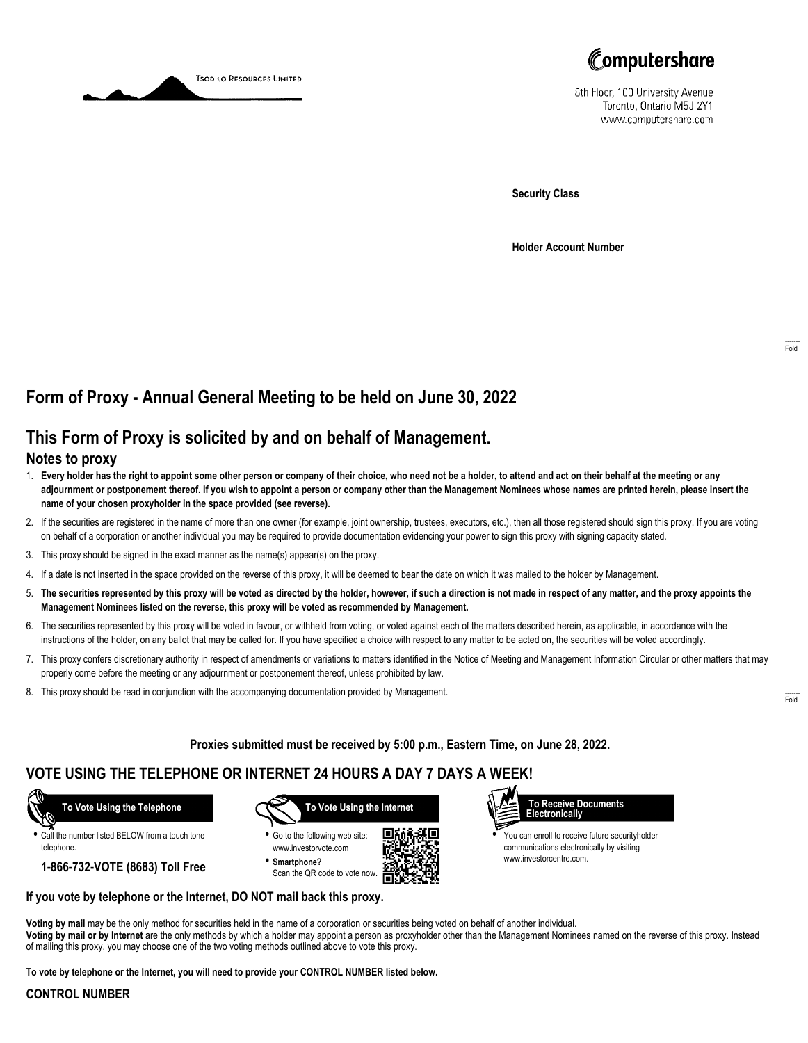



8th Floor, 100 University Avenue Toronto, Ontario M5J 2Y1 www.computershare.com

**Security Class**

**Holder Account Number**

# **Form of Proxy - Annual General Meeting to be held on June 30, 2022**

## **This Form of Proxy is solicited by and on behalf of Management.**

### **Notes to proxy**

- 1. **Every holder has the right to appoint some other person or company of their choice, who need not be a holder, to attend and act on their behalf at the meeting or any adjournment or postponement thereof. If you wish to appoint a person or company other than the Management Nominees whose names are printed herein, please insert the name of your chosen proxyholder in the space provided (see reverse).**
- 2. If the securities are registered in the name of more than one owner (for example, joint ownership, trustees, executors, etc.), then all those registered should sign this proxy. If you are voting on behalf of a corporation or another individual you may be required to provide documentation evidencing your power to sign this proxy with signing capacity stated.
- 3. This proxy should be signed in the exact manner as the name(s) appear(s) on the proxy.
- 4. If a date is not inserted in the space provided on the reverse of this proxy, it will be deemed to bear the date on which it was mailed to the holder by Management.
- 5. **The securities represented by this proxy will be voted as directed by the holder, however, if such a direction is not made in respect of any matter, and the proxy appoints the Management Nominees listed on the reverse, this proxy will be voted as recommended by Management.**
- 6. The securities represented by this proxy will be voted in favour, or withheld from voting, or voted against each of the matters described herein, as applicable, in accordance with the instructions of the holder, on any ballot that may be called for. If you have specified a choice with respect to any matter to be acted on, the securities will be voted accordingly.
- 7. This proxy confers discretionary authority in respect of amendments or variations to matters identified in the Notice of Meeting and Management Information Circular or other matters that may properly come before the meeting or any adjournment or postponement thereof, unless prohibited by law.
- 8. This proxy should be read in conjunction with the accompanying documentation provided by Management.

**Proxies submitted must be received by 5:00 p.m., Eastern Time, on June 28, 2022.**

## **VOTE USING THE TELEPHONE OR INTERNET 24 HOURS A DAY 7 DAYS A WEEK!**



**•** Call the number listed BELOW from a touch tone telephone.

**1-866-732-VOTE (8683) Toll Free**



**•** Go to the following web site: www.investorvote.com **• Smartphone?**

Scan the QR code to vote now.





**•** You can enroll to receive future securityholder communications electronically by visiting www.investorcentre.com.

#### **If you vote by telephone or the Internet, DO NOT mail back this proxy.**

**Voting by mail** may be the only method for securities held in the name of a corporation or securities being voted on behalf of another individual. **Voting by mail or by Internet** are the only methods by which a holder may appoint a person as proxyholder other than the Management Nominees named on the reverse of this proxy. Instead of mailing this proxy, you may choose one of the two voting methods outlined above to vote this proxy.

**To vote by telephone or the Internet, you will need to provide your CONTROL NUMBER listed below.**

#### **CONTROL NUMBER**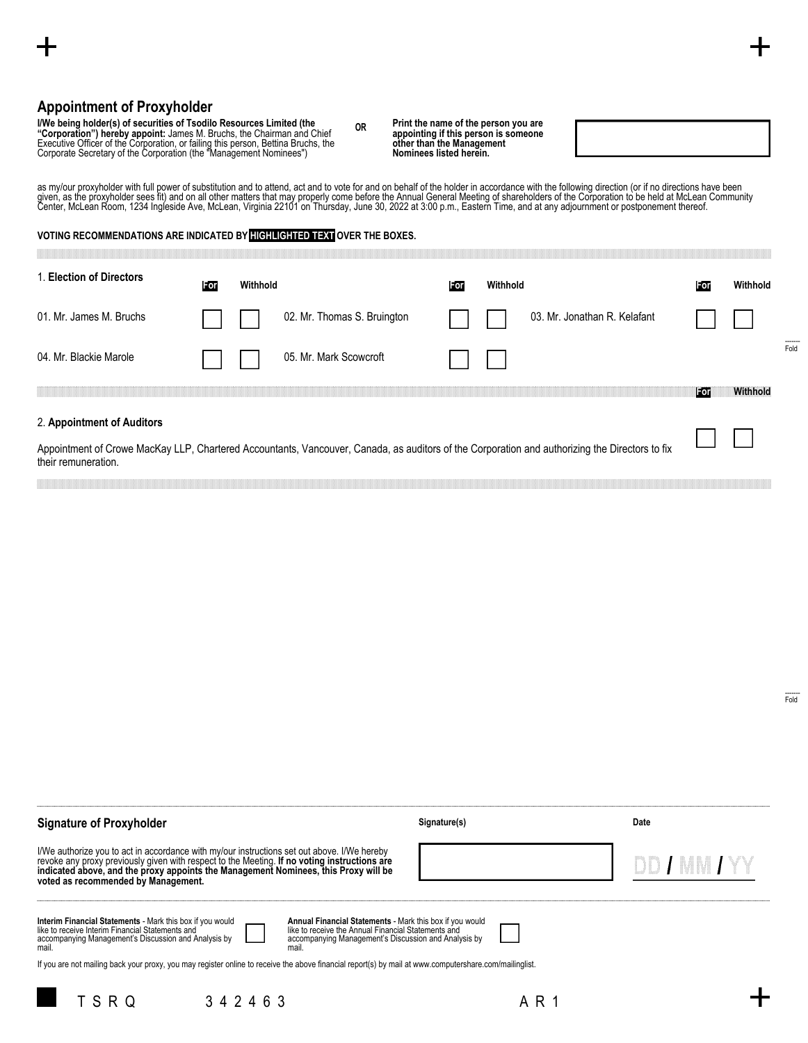### **Appointment of Proxyholder**

I/We being holder(s) of securities of Tsodilo Resources Limited (the<br>"Corporation") hereby appoint: James M. Bruchs, the Chairman and Chief<br>Executive Officer of the Corporation, or failing this person, Bettina Bruchs, the<br>

|                                                                          | as my/our proxyholder with full power of substitution and to attend, act and to vote for and on behalf of the holder in accordance with the following direction (or if no directions have been<br>given, as the proxyholder sees fit) and on all other matters that may properly come before the Annual General Meeting of shareholders of the Corporation to be held at McLean Community<br>Center, McLean Room, 1234 Ingleside Ave, McLean, Virginia 22101 on Thursday, June 30, 2022 at 3:00 p.m., Eastern Time, and at any adjournment or postponement thereof. |          |                                                                                                                                                |     |          |                              |       |          |  |
|--------------------------------------------------------------------------|---------------------------------------------------------------------------------------------------------------------------------------------------------------------------------------------------------------------------------------------------------------------------------------------------------------------------------------------------------------------------------------------------------------------------------------------------------------------------------------------------------------------------------------------------------------------|----------|------------------------------------------------------------------------------------------------------------------------------------------------|-----|----------|------------------------------|-------|----------|--|
| VOTING RECOMMENDATIONS ARE INDICATED BY HIGHLIGHTED TEXT OVER THE BOXES. |                                                                                                                                                                                                                                                                                                                                                                                                                                                                                                                                                                     |          |                                                                                                                                                |     |          |                              |       |          |  |
| 1. Election of Directors                                                 | For                                                                                                                                                                                                                                                                                                                                                                                                                                                                                                                                                                 | Withhold |                                                                                                                                                | For | Withhold |                              | For   | Withhold |  |
| 01. Mr. James M. Bruchs                                                  |                                                                                                                                                                                                                                                                                                                                                                                                                                                                                                                                                                     |          | 02. Mr. Thomas S. Bruington                                                                                                                    |     |          | 03. Mr. Jonathan R. Kelafant |       |          |  |
| 04. Mr. Blackie Marole                                                   |                                                                                                                                                                                                                                                                                                                                                                                                                                                                                                                                                                     |          | 05. Mr. Mark Scowcroft                                                                                                                         |     |          |                              |       |          |  |
|                                                                          |                                                                                                                                                                                                                                                                                                                                                                                                                                                                                                                                                                     |          |                                                                                                                                                |     |          |                              | lForl | Withhold |  |
| 2. Appointment of Auditors                                               |                                                                                                                                                                                                                                                                                                                                                                                                                                                                                                                                                                     |          | Appointment of Crowe MacKay LLP, Chartered Accountants, Vancouver, Canada, as auditors of the Corporation and authorizing the Directors to fix |     |          |                              |       |          |  |
| their remuneration.                                                      |                                                                                                                                                                                                                                                                                                                                                                                                                                                                                                                                                                     |          |                                                                                                                                                |     |          |                              |       |          |  |

**OR Print the name of the person you are appointing if this person is someone other than the Management Nominees listed herein.**

------- Fold

------- Fold

### **Signature of Proxyholder**

l/We authorize you to act in accordance with my/our instructions set out above. I/We hereby<br>revoke any proxy previously given with respect to the Meeting. I**f no voting instructions are**<br>i**ndicated above, and the proxy app** 

| Interim Financial Statements - Mark this box if you would     |  |
|---------------------------------------------------------------|--|
| like to receive Interim Financial Statements and              |  |
| accompanying Management's Discussion and Analysis by<br>mail. |  |

mail.

**Annual Financial Statements** - Mark this box if you would like to receive the Annual Financial Statements and accompanying Management's Discussion and Analysis by

If you are not mailing back your proxy, you may register online to receive the above financial report(s) by mail at www.computershare.com/mailinglist.





**Signature(s) Date**



DD / MM / YY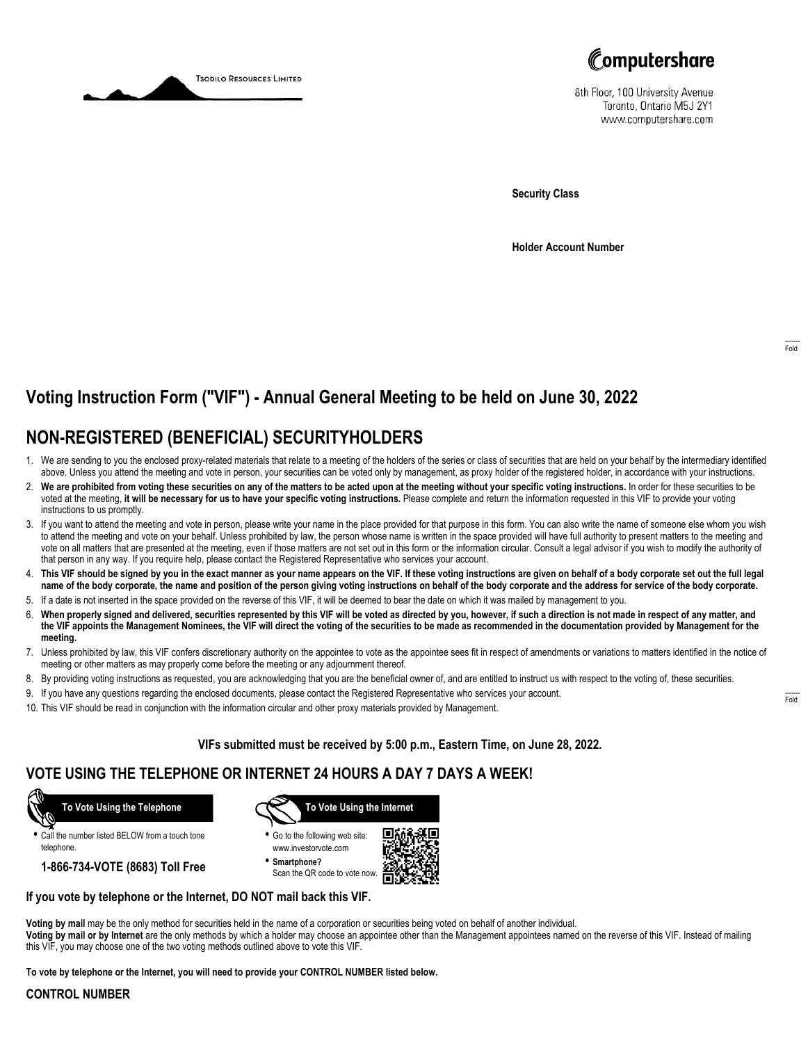



8th Floor, 100 University Avenue Toronto, Ontario M5J 2Y1 www.computershare.com

**Security Class**

**Holder Account Number**

# **Voting Instruction Form ("VIF") - Annual General Meeting to be held on June 30, 2022**

# **NON-REGISTERED (BENEFICIAL) SECURITYHOLDERS**

- 1. We are sending to you the enclosed proxy-related materials that relate to a meeting of the holders of the series or class of securities that are held on your behalf by the intermediary identified above. Unless you attend the meeting and vote in person, your securities can be voted only by management, as proxy holder of the registered holder, in accordance with your instructions.
- 2. **We are prohibited from voting these securities on any of the matters to be acted upon at the meeting without your specific voting instructions.** In order for these securities to be voted at the meeting, **it will be necessary for us to have your specific voting instructions.** Please complete and return the information requested in this VIF to provide your voting instructions to us promptly.
- 3. If you want to attend the meeting and vote in person, please write your name in the place provided for that purpose in this form. You can also write the name of someone else whom you wish to attend the meeting and vote on your behalf. Unless prohibited by law, the person whose name is written in the space provided will have full authority to present matters to the meeting and vote on all matters that are presented at the meeting, even if those matters are not set out in this form or the information circular. Consult a legal advisor if you wish to modify the authority of that person in any way. If you require help, please contact the Registered Representative who services your account.
- 4. **This VIF should be signed by you in the exact manner as your name appears on the VIF. If these voting instructions are given on behalf of a body corporate set out the full legal name of the body corporate, the name and position of the person giving voting instructions on behalf of the body corporate and the address for service of the body corporate.**
- 5. If a date is not inserted in the space provided on the reverse of this VIF, it will be deemed to bear the date on which it was mailed by management to you.
- 6. **When properly signed and delivered, securities represented by this VIF will be voted as directed by you, however, if such a direction is not made in respect of any matter, and the VIF appoints the Management Nominees, the VIF will direct the voting of the securities to be made as recommended in the documentation provided by Management for the meeting.**
- 7. Unless prohibited by law, this VIF confers discretionary authority on the appointee to vote as the appointee sees fit in respect of amendments or variations to matters identified in the notice of meeting or other matters as may properly come before the meeting or any adjournment thereof.
- 8. By providing voting instructions as requested, you are acknowledging that you are the beneficial owner of, and are entitled to instruct us with respect to the voting of, these securities.
- 9. If you have any questions regarding the enclosed documents, please contact the Registered Representative who services your account.
- 10. This VIF should be read in conjunction with the information circular and other proxy materials provided by Management.

**VIFs submitted must be received by 5:00 p.m., Eastern Time, on June 28, 2022.**

# **VOTE USING THE TELEPHONE OR INTERNET 24 HOURS A DAY 7 DAYS A WEEK!**



**•** Call the number listed BELOW from a touch tone telephone.

**1-866-734-VOTE (8683) Toll Free**



- **•** Go to the following web site: www.investorvote.com
- **• Smartphone?** Scan the QR code to vote now.



#### **If you vote by telephone or the Internet, DO NOT mail back this VIF.**

**Voting by mail** may be the only method for securities held in the name of a corporation or securities being voted on behalf of another individual.

**Voting by mail or by Internet** are the only methods by which a holder may choose an appointee other than the Management appointees named on the reverse of this VIF. Instead of mailing this VIF, you may choose one of the two voting methods outlined above to vote this VIF.

**To vote by telephone or the Internet, you will need to provide your CONTROL NUMBER listed below.**

#### **CONTROL NUMBER**